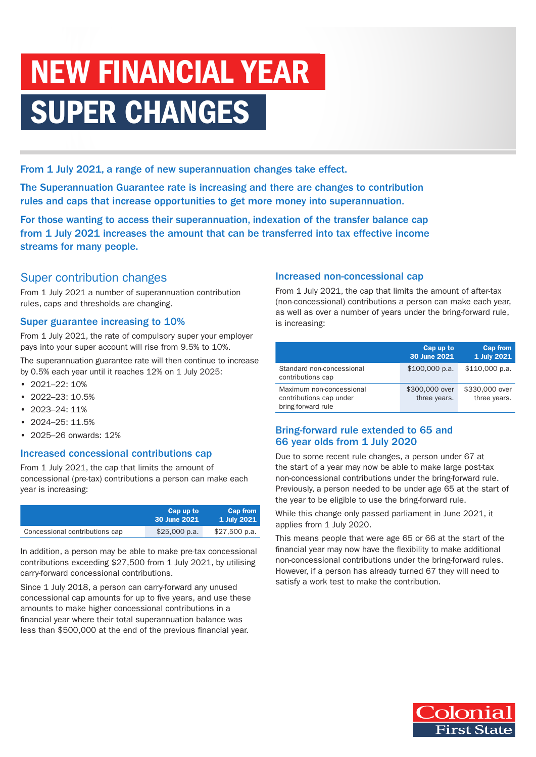# NEW FINANCIAL YEAR SUPER CHANGES

From 1 July 2021, a range of new superannuation changes take effect.

The Superannuation Guarantee rate is increasing and there are changes to contribution rules and caps that increase opportunities to get more money into superannuation.

For those wanting to access their superannuation, indexation of the transfer balance cap from 1 July 2021 increases the amount that can be transferred into tax effective income streams for many people.

# Super contribution changes

From 1 July 2021 a number of superannuation contribution rules, caps and thresholds are changing.

## Super guarantee increasing to 10%

From 1 July 2021, the rate of compulsory super your employer pays into your super account will rise from 9.5% to 10%.

The superannuation guarantee rate will then continue to increase by 0.5% each year until it reaches 12% on 1 July 2025:

- 2021–22: 10%
- 2022–23: 10.5%
- $2023 24:11\%$
- $2024 25 \cdot 11.5\%$
- 2025–26 onwards: 12%

### Increased concessional contributions cap

From 1 July 2021, the cap that limits the amount of concessional (pre-tax) contributions a person can make each year is increasing:

|                                | Cap up to<br>30 June 2021 | <b>Cap from</b><br>$1$ July 2021 |
|--------------------------------|---------------------------|----------------------------------|
| Concessional contributions cap | \$25,000 p.a.             | $$27,500$ p.a.                   |

In addition, a person may be able to make pre-tax concessional contributions exceeding \$27,500 from 1 July 2021, by utilising carry-forward concessional contributions.

Since 1 July 2018, a person can carry-forward any unused concessional cap amounts for up to five years, and use these amounts to make higher concessional contributions in a financial year where their total superannuation balance was less than \$500,000 at the end of the previous financial year.

### Increased non-concessional cap

From 1 July 2021, the cap that limits the amount of after-tax (non-concessional) contributions a person can make each year, as well as over a number of years under the bring-forward rule, is increasing:

|                                                                           | Cap up to<br>30 June 2021      | <b>Cap from</b><br>1 July 2021 |
|---------------------------------------------------------------------------|--------------------------------|--------------------------------|
| Standard non-concessional<br>contributions cap                            | $$100,000$ p.a.                | $$110,000$ p.a.                |
| Maximum non-concessional<br>contributions cap under<br>bring-forward rule | \$300,000 over<br>three years. | \$330,000 over<br>three years. |

### Bring-forward rule extended to 65 and 66 year olds from 1 July 2020

Due to some recent rule changes, a person under 67 at the start of a year may now be able to make large post-tax non-concessional contributions under the bring-forward rule. Previously, a person needed to be under age 65 at the start of the year to be eligible to use the bring-forward rule.

While this change only passed parliament in June 2021, it applies from 1 July 2020.

This means people that were age 65 or 66 at the start of the financial year may now have the flexibility to make additional non-concessional contributions under the bring-forward rules. However, if a person has already turned 67 they will need to satisfy a work test to make the contribution.